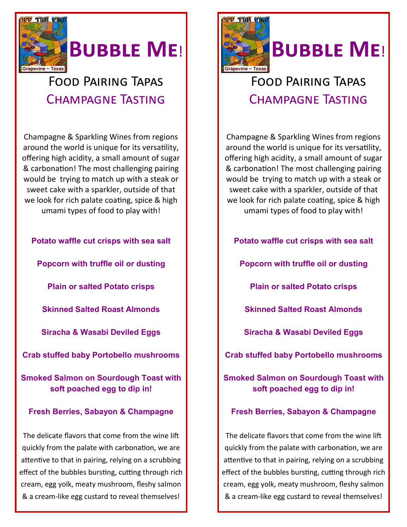

# **Bubble Me**!

### Food Pairing Tapas Champagne Tasting

Champagne & Sparkling Wines from regions around the world is unique for its versatility, offering high acidity, a small amount of sugar & carbonation! The most challenging pairing would be trying to match up with a steak or sweet cake with a sparkler, outside of that we look for rich palate coating, spice & high umami types of food to play with!

**Potato waffle cut crisps with sea salt Popcorn with truffle oil or dusting**

**Plain or salted Potato crisps**

**Skinned Salted Roast Almonds**

**Siracha & Wasabi Deviled Eggs**

**Crab stuffed baby Portobello mushrooms**

**Smoked Salmon on Sourdough Toast with soft poached egg to dip in!**

#### **Fresh Berries, Sabayon & Champagne**

The delicate flavors that come from the wine lift quickly from the palate with carbonation, we are attentive to that in pairing, relying on a scrubbing effect of the bubbles bursting, cutting through rich cream, egg yolk, meaty mushroom, fleshy salmon & a cream-like egg custard to reveal themselves!



### Food Pairing Tapas Champagne Tasting

Champagne & Sparkling Wines from regions around the world is unique for its versatility, offering high acidity, a small amount of sugar & carbonation! The most challenging pairing would be trying to match up with a steak or sweet cake with a sparkler, outside of that we look for rich palate coating, spice & high umami types of food to play with!

**Potato waffle cut crisps with sea salt** 

**Popcorn with truffle oil or dusting**

**Plain or salted Potato crisps**

**Skinned Salted Roast Almonds**

**Siracha & Wasabi Deviled Eggs**

**Crab stuffed baby Portobello mushrooms**

**Smoked Salmon on Sourdough Toast with soft poached egg to dip in!**

#### **Fresh Berries, Sabayon & Champagne**

The delicate flavors that come from the wine lift quickly from the palate with carbonation, we are attentive to that in pairing, relying on a scrubbing effect of the bubbles bursting, cutting through rich cream, egg yolk, meaty mushroom, fleshy salmon & a cream-like egg custard to reveal themselves!